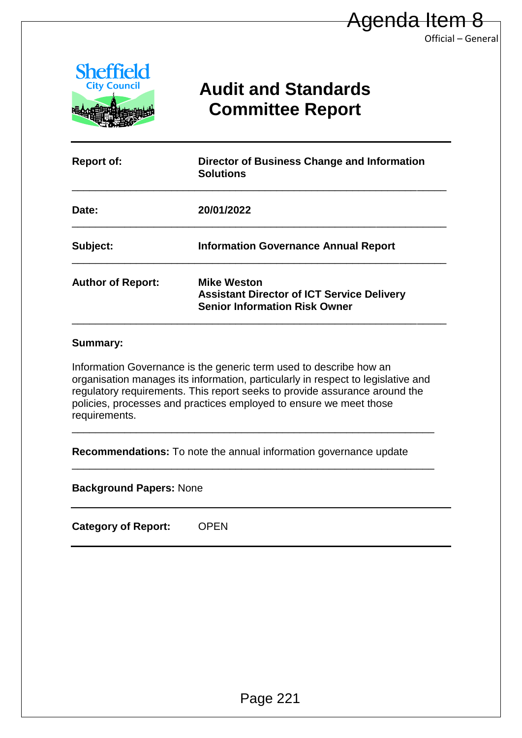

# **Audit and Standards Committee Report**

Official – General

| <b>Sheffield</b><br><b>City Council</b><br><b>Audit and Standards</b><br><b>Committee Report</b><br><b>Report of:</b><br><b>Director of Business Change and Information</b><br><b>Solutions</b><br>20/01/2022<br>Date:<br>Subject:<br><b>Information Governance Annual Report</b><br><b>Mike Weston</b>                                        |                                                   |  |  |  |  |
|------------------------------------------------------------------------------------------------------------------------------------------------------------------------------------------------------------------------------------------------------------------------------------------------------------------------------------------------|---------------------------------------------------|--|--|--|--|
| <b>Author of Report:</b>                                                                                                                                                                                                                                                                                                                       |                                                   |  |  |  |  |
|                                                                                                                                                                                                                                                                                                                                                |                                                   |  |  |  |  |
|                                                                                                                                                                                                                                                                                                                                                |                                                   |  |  |  |  |
|                                                                                                                                                                                                                                                                                                                                                |                                                   |  |  |  |  |
| <b>Senior Information Risk Owner</b>                                                                                                                                                                                                                                                                                                           | <b>Assistant Director of ICT Service Delivery</b> |  |  |  |  |
| <b>Summary:</b><br>Information Governance is the generic term used to describe how an<br>organisation manages its information, particularly in respect to legislative and<br>regulatory requirements. This report seeks to provide assurance around the<br>policies, processes and practices employed to ensure we meet those<br>requirements. |                                                   |  |  |  |  |
| Recommendations: To note the annual information governance update                                                                                                                                                                                                                                                                              |                                                   |  |  |  |  |
| <b>Background Papers: None</b>                                                                                                                                                                                                                                                                                                                 |                                                   |  |  |  |  |
| <b>Category of Report:</b><br><b>OPEN</b>                                                                                                                                                                                                                                                                                                      |                                                   |  |  |  |  |

#### **Summary:**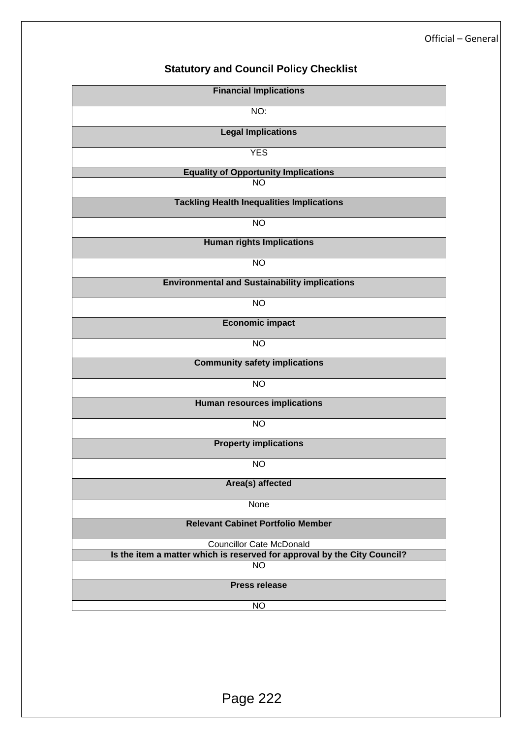# **Statutory and Council Policy Checklist**

| <b>Financial Implications</b>                                            |  |  |  |  |  |  |
|--------------------------------------------------------------------------|--|--|--|--|--|--|
| NO:                                                                      |  |  |  |  |  |  |
| <b>Legal Implications</b>                                                |  |  |  |  |  |  |
| <b>YES</b>                                                               |  |  |  |  |  |  |
| <b>Equality of Opportunity Implications</b>                              |  |  |  |  |  |  |
| <b>NO</b>                                                                |  |  |  |  |  |  |
| <b>Tackling Health Inequalities Implications</b>                         |  |  |  |  |  |  |
| <b>NO</b>                                                                |  |  |  |  |  |  |
| <b>Human rights Implications</b>                                         |  |  |  |  |  |  |
| <b>NO</b>                                                                |  |  |  |  |  |  |
| <b>Environmental and Sustainability implications</b>                     |  |  |  |  |  |  |
| N <sub>O</sub>                                                           |  |  |  |  |  |  |
| <b>Economic impact</b>                                                   |  |  |  |  |  |  |
| <b>NO</b>                                                                |  |  |  |  |  |  |
| <b>Community safety implications</b>                                     |  |  |  |  |  |  |
| <b>NO</b>                                                                |  |  |  |  |  |  |
| <b>Human resources implications</b>                                      |  |  |  |  |  |  |
| <b>NO</b>                                                                |  |  |  |  |  |  |
| <b>Property implications</b>                                             |  |  |  |  |  |  |
| <b>NO</b>                                                                |  |  |  |  |  |  |
| Area(s) affected                                                         |  |  |  |  |  |  |
| None                                                                     |  |  |  |  |  |  |
| <b>Relevant Cabinet Portfolio Member</b>                                 |  |  |  |  |  |  |
| <b>Councillor Cate McDonald</b>                                          |  |  |  |  |  |  |
| Is the item a matter which is reserved for approval by the City Council? |  |  |  |  |  |  |
| <b>NO</b>                                                                |  |  |  |  |  |  |
| <b>Press release</b>                                                     |  |  |  |  |  |  |
| <b>NO</b>                                                                |  |  |  |  |  |  |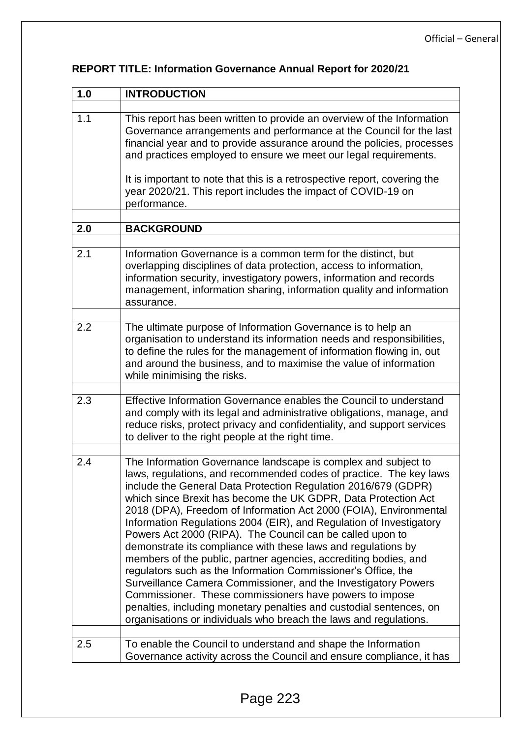| 1.0 | <b>INTRODUCTION</b>                                                                                                                                                                                                                                                                                                                                                                                                                                                                                                                                                                                                                                                                                                                                                                                                                                                                                                                                              |  |  |  |  |
|-----|------------------------------------------------------------------------------------------------------------------------------------------------------------------------------------------------------------------------------------------------------------------------------------------------------------------------------------------------------------------------------------------------------------------------------------------------------------------------------------------------------------------------------------------------------------------------------------------------------------------------------------------------------------------------------------------------------------------------------------------------------------------------------------------------------------------------------------------------------------------------------------------------------------------------------------------------------------------|--|--|--|--|
|     |                                                                                                                                                                                                                                                                                                                                                                                                                                                                                                                                                                                                                                                                                                                                                                                                                                                                                                                                                                  |  |  |  |  |
| 1.1 | This report has been written to provide an overview of the Information<br>Governance arrangements and performance at the Council for the last<br>financial year and to provide assurance around the policies, processes<br>and practices employed to ensure we meet our legal requirements.                                                                                                                                                                                                                                                                                                                                                                                                                                                                                                                                                                                                                                                                      |  |  |  |  |
|     | It is important to note that this is a retrospective report, covering the<br>year 2020/21. This report includes the impact of COVID-19 on<br>performance.                                                                                                                                                                                                                                                                                                                                                                                                                                                                                                                                                                                                                                                                                                                                                                                                        |  |  |  |  |
| 2.0 | <b>BACKGROUND</b>                                                                                                                                                                                                                                                                                                                                                                                                                                                                                                                                                                                                                                                                                                                                                                                                                                                                                                                                                |  |  |  |  |
|     |                                                                                                                                                                                                                                                                                                                                                                                                                                                                                                                                                                                                                                                                                                                                                                                                                                                                                                                                                                  |  |  |  |  |
| 2.1 | Information Governance is a common term for the distinct, but<br>overlapping disciplines of data protection, access to information,<br>information security, investigatory powers, information and records<br>management, information sharing, information quality and information<br>assurance.                                                                                                                                                                                                                                                                                                                                                                                                                                                                                                                                                                                                                                                                 |  |  |  |  |
| 2.2 |                                                                                                                                                                                                                                                                                                                                                                                                                                                                                                                                                                                                                                                                                                                                                                                                                                                                                                                                                                  |  |  |  |  |
|     | The ultimate purpose of Information Governance is to help an<br>organisation to understand its information needs and responsibilities,<br>to define the rules for the management of information flowing in, out<br>and around the business, and to maximise the value of information<br>while minimising the risks.                                                                                                                                                                                                                                                                                                                                                                                                                                                                                                                                                                                                                                              |  |  |  |  |
| 2.3 | Effective Information Governance enables the Council to understand<br>and comply with its legal and administrative obligations, manage, and<br>reduce risks, protect privacy and confidentiality, and support services<br>to deliver to the right people at the right time.                                                                                                                                                                                                                                                                                                                                                                                                                                                                                                                                                                                                                                                                                      |  |  |  |  |
| 2.4 | The Information Governance landscape is complex and subject to<br>laws, regulations, and recommended codes of practice. The key laws<br>include the General Data Protection Regulation 2016/679 (GDPR)<br>which since Brexit has become the UK GDPR, Data Protection Act<br>2018 (DPA), Freedom of Information Act 2000 (FOIA), Environmental<br>Information Regulations 2004 (EIR), and Regulation of Investigatory<br>Powers Act 2000 (RIPA). The Council can be called upon to<br>demonstrate its compliance with these laws and regulations by<br>members of the public, partner agencies, accrediting bodies, and<br>regulators such as the Information Commissioner's Office, the<br>Surveillance Camera Commissioner, and the Investigatory Powers<br>Commissioner. These commissioners have powers to impose<br>penalties, including monetary penalties and custodial sentences, on<br>organisations or individuals who breach the laws and regulations. |  |  |  |  |
| 2.5 | To enable the Council to understand and shape the Information<br>Governance activity across the Council and ensure compliance, it has                                                                                                                                                                                                                                                                                                                                                                                                                                                                                                                                                                                                                                                                                                                                                                                                                            |  |  |  |  |

# **REPORT TITLE: Information Governance Annual Report for 2020/21**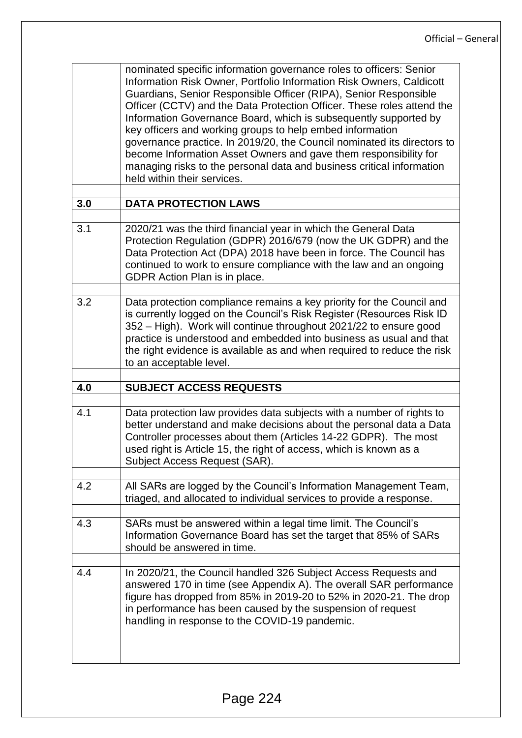|     | nominated specific information governance roles to officers: Senior<br>Information Risk Owner, Portfolio Information Risk Owners, Caldicott<br>Guardians, Senior Responsible Officer (RIPA), Senior Responsible<br>Officer (CCTV) and the Data Protection Officer. These roles attend the<br>Information Governance Board, which is subsequently supported by<br>key officers and working groups to help embed information<br>governance practice. In 2019/20, the Council nominated its directors to<br>become Information Asset Owners and gave them responsibility for<br>managing risks to the personal data and business critical information<br>held within their services. |
|-----|-----------------------------------------------------------------------------------------------------------------------------------------------------------------------------------------------------------------------------------------------------------------------------------------------------------------------------------------------------------------------------------------------------------------------------------------------------------------------------------------------------------------------------------------------------------------------------------------------------------------------------------------------------------------------------------|
| 3.0 | <b>DATA PROTECTION LAWS</b>                                                                                                                                                                                                                                                                                                                                                                                                                                                                                                                                                                                                                                                       |
| 3.1 | 2020/21 was the third financial year in which the General Data<br>Protection Regulation (GDPR) 2016/679 (now the UK GDPR) and the<br>Data Protection Act (DPA) 2018 have been in force. The Council has<br>continued to work to ensure compliance with the law and an ongoing<br>GDPR Action Plan is in place.                                                                                                                                                                                                                                                                                                                                                                    |
| 3.2 | Data protection compliance remains a key priority for the Council and<br>is currently logged on the Council's Risk Register (Resources Risk ID<br>352 - High). Work will continue throughout 2021/22 to ensure good<br>practice is understood and embedded into business as usual and that<br>the right evidence is available as and when required to reduce the risk<br>to an acceptable level.                                                                                                                                                                                                                                                                                  |
| 4.0 | <b>SUBJECT ACCESS REQUESTS</b>                                                                                                                                                                                                                                                                                                                                                                                                                                                                                                                                                                                                                                                    |
| 4.1 | Data protection law provides data subjects with a number of rights to<br>better understand and make decisions about the personal data a Data<br>Controller processes about them (Articles 14-22 GDPR). The most<br>used right is Article 15, the right of access, which is known as a<br>Subject Access Request (SAR).                                                                                                                                                                                                                                                                                                                                                            |
| 4.2 | All SARs are logged by the Council's Information Management Team,<br>triaged, and allocated to individual services to provide a response.                                                                                                                                                                                                                                                                                                                                                                                                                                                                                                                                         |
| 4.3 | SARs must be answered within a legal time limit. The Council's<br>Information Governance Board has set the target that 85% of SARs<br>should be answered in time.                                                                                                                                                                                                                                                                                                                                                                                                                                                                                                                 |
| 4.4 | In 2020/21, the Council handled 326 Subject Access Requests and<br>answered 170 in time (see Appendix A). The overall SAR performance<br>figure has dropped from 85% in 2019-20 to 52% in 2020-21. The drop<br>in performance has been caused by the suspension of request<br>handling in response to the COVID-19 pandemic.                                                                                                                                                                                                                                                                                                                                                      |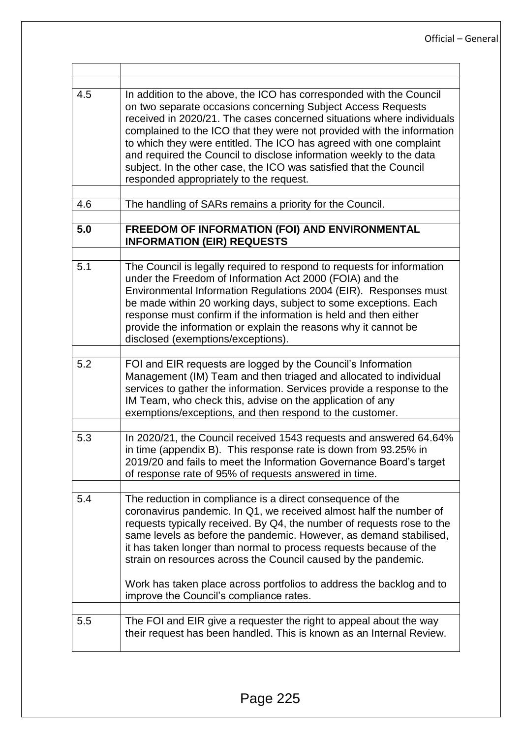| 4.5 | In addition to the above, the ICO has corresponded with the Council<br>on two separate occasions concerning Subject Access Requests<br>received in 2020/21. The cases concerned situations where individuals<br>complained to the ICO that they were not provided with the information<br>to which they were entitled. The ICO has agreed with one complaint<br>and required the Council to disclose information weekly to the data<br>subject. In the other case, the ICO was satisfied that the Council<br>responded appropriately to the request. |  |  |  |  |  |
|-----|------------------------------------------------------------------------------------------------------------------------------------------------------------------------------------------------------------------------------------------------------------------------------------------------------------------------------------------------------------------------------------------------------------------------------------------------------------------------------------------------------------------------------------------------------|--|--|--|--|--|
| 4.6 | The handling of SARs remains a priority for the Council.                                                                                                                                                                                                                                                                                                                                                                                                                                                                                             |  |  |  |  |  |
| 5.0 | FREEDOM OF INFORMATION (FOI) AND ENVIRONMENTAL<br><b>INFORMATION (EIR) REQUESTS</b>                                                                                                                                                                                                                                                                                                                                                                                                                                                                  |  |  |  |  |  |
| 5.1 | The Council is legally required to respond to requests for information<br>under the Freedom of Information Act 2000 (FOIA) and the<br>Environmental Information Regulations 2004 (EIR). Responses must<br>be made within 20 working days, subject to some exceptions. Each<br>response must confirm if the information is held and then either<br>provide the information or explain the reasons why it cannot be<br>disclosed (exemptions/exceptions).                                                                                              |  |  |  |  |  |
| 5.2 | FOI and EIR requests are logged by the Council's Information<br>Management (IM) Team and then triaged and allocated to individual<br>services to gather the information. Services provide a response to the<br>IM Team, who check this, advise on the application of any<br>exemptions/exceptions, and then respond to the customer.                                                                                                                                                                                                                 |  |  |  |  |  |
| 5.3 | In 2020/21, the Council received 1543 requests and answered 64.64%<br>in time (appendix B). This response rate is down from 93.25% in<br>2019/20 and fails to meet the Information Governance Board's target<br>of response rate of 95% of requests answered in time.                                                                                                                                                                                                                                                                                |  |  |  |  |  |
| 5.4 | The reduction in compliance is a direct consequence of the<br>coronavirus pandemic. In Q1, we received almost half the number of<br>requests typically received. By Q4, the number of requests rose to the<br>same levels as before the pandemic. However, as demand stabilised,<br>it has taken longer than normal to process requests because of the<br>strain on resources across the Council caused by the pandemic.<br>Work has taken place across portfolios to address the backlog and to<br>improve the Council's compliance rates.          |  |  |  |  |  |
| 5.5 | The FOI and EIR give a requester the right to appeal about the way<br>their request has been handled. This is known as an Internal Review.                                                                                                                                                                                                                                                                                                                                                                                                           |  |  |  |  |  |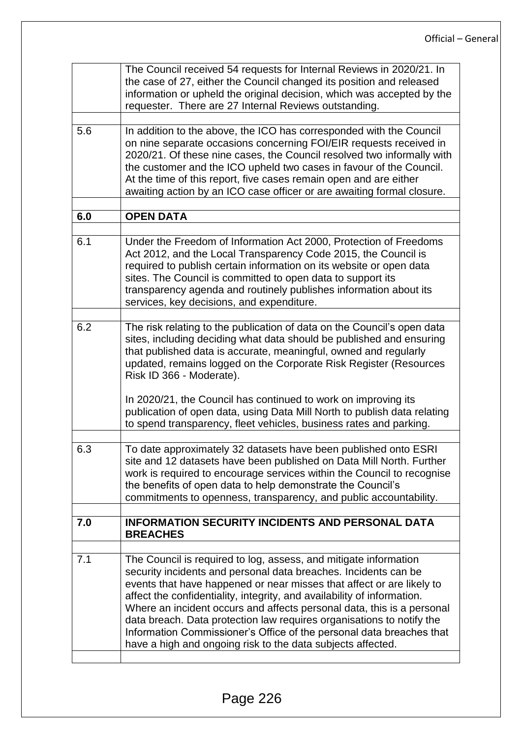|     | The Council received 54 requests for Internal Reviews in 2020/21. In<br>the case of 27, either the Council changed its position and released<br>information or upheld the original decision, which was accepted by the<br>requester. There are 27 Internal Reviews outstanding.                                                                                                                                                                                                                                                                                                   |  |  |  |  |  |
|-----|-----------------------------------------------------------------------------------------------------------------------------------------------------------------------------------------------------------------------------------------------------------------------------------------------------------------------------------------------------------------------------------------------------------------------------------------------------------------------------------------------------------------------------------------------------------------------------------|--|--|--|--|--|
| 5.6 | In addition to the above, the ICO has corresponded with the Council<br>on nine separate occasions concerning FOI/EIR requests received in<br>2020/21. Of these nine cases, the Council resolved two informally with<br>the customer and the ICO upheld two cases in favour of the Council.<br>At the time of this report, five cases remain open and are either<br>awaiting action by an ICO case officer or are awaiting formal closure.                                                                                                                                         |  |  |  |  |  |
| 6.0 | <b>OPEN DATA</b>                                                                                                                                                                                                                                                                                                                                                                                                                                                                                                                                                                  |  |  |  |  |  |
| 6.1 | Under the Freedom of Information Act 2000, Protection of Freedoms<br>Act 2012, and the Local Transparency Code 2015, the Council is<br>required to publish certain information on its website or open data<br>sites. The Council is committed to open data to support its<br>transparency agenda and routinely publishes information about its<br>services, key decisions, and expenditure.                                                                                                                                                                                       |  |  |  |  |  |
| 6.2 | The risk relating to the publication of data on the Council's open data<br>sites, including deciding what data should be published and ensuring<br>that published data is accurate, meaningful, owned and regularly<br>updated, remains logged on the Corporate Risk Register (Resources<br>Risk ID 366 - Moderate).                                                                                                                                                                                                                                                              |  |  |  |  |  |
|     | In 2020/21, the Council has continued to work on improving its<br>publication of open data, using Data Mill North to publish data relating<br>to spend transparency, fleet vehicles, business rates and parking.                                                                                                                                                                                                                                                                                                                                                                  |  |  |  |  |  |
| 6.3 | To date approximately 32 datasets have been published onto ESRI<br>site and 12 datasets have been published on Data Mill North. Further<br>work is required to encourage services within the Council to recognise<br>the benefits of open data to help demonstrate the Council's<br>commitments to openness, transparency, and public accountability.                                                                                                                                                                                                                             |  |  |  |  |  |
| 7.0 | <b>INFORMATION SECURITY INCIDENTS AND PERSONAL DATA</b><br><b>BREACHES</b>                                                                                                                                                                                                                                                                                                                                                                                                                                                                                                        |  |  |  |  |  |
| 7.1 | The Council is required to log, assess, and mitigate information<br>security incidents and personal data breaches. Incidents can be<br>events that have happened or near misses that affect or are likely to<br>affect the confidentiality, integrity, and availability of information.<br>Where an incident occurs and affects personal data, this is a personal<br>data breach. Data protection law requires organisations to notify the<br>Information Commissioner's Office of the personal data breaches that<br>have a high and ongoing risk to the data subjects affected. |  |  |  |  |  |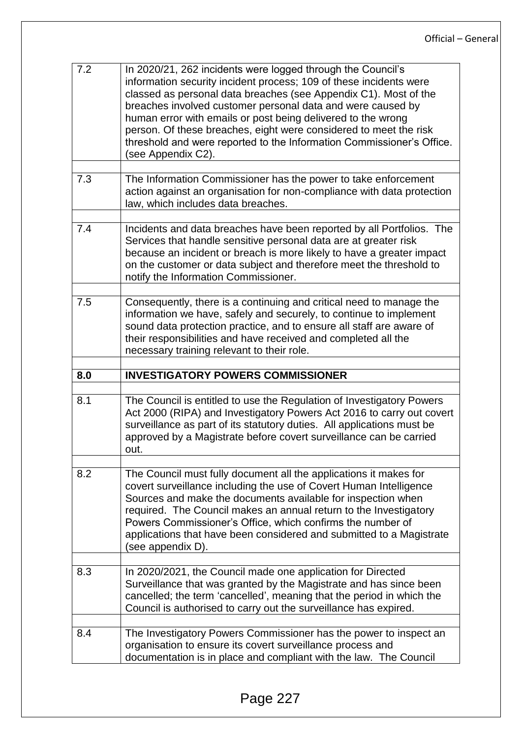| 7.2 | In 2020/21, 262 incidents were logged through the Council's<br>information security incident process; 109 of these incidents were<br>classed as personal data breaches (see Appendix C1). Most of the<br>breaches involved customer personal data and were caused by<br>human error with emails or post being delivered to the wrong<br>person. Of these breaches, eight were considered to meet the risk<br>threshold and were reported to the Information Commissioner's Office.<br>(see Appendix C2). |
|-----|----------------------------------------------------------------------------------------------------------------------------------------------------------------------------------------------------------------------------------------------------------------------------------------------------------------------------------------------------------------------------------------------------------------------------------------------------------------------------------------------------------|
| 7.3 | The Information Commissioner has the power to take enforcement<br>action against an organisation for non-compliance with data protection<br>law, which includes data breaches.                                                                                                                                                                                                                                                                                                                           |
| 7.4 | Incidents and data breaches have been reported by all Portfolios. The<br>Services that handle sensitive personal data are at greater risk<br>because an incident or breach is more likely to have a greater impact<br>on the customer or data subject and therefore meet the threshold to<br>notify the Information Commissioner.                                                                                                                                                                        |
| 7.5 | Consequently, there is a continuing and critical need to manage the<br>information we have, safely and securely, to continue to implement<br>sound data protection practice, and to ensure all staff are aware of<br>their responsibilities and have received and completed all the<br>necessary training relevant to their role.                                                                                                                                                                        |
|     |                                                                                                                                                                                                                                                                                                                                                                                                                                                                                                          |
|     |                                                                                                                                                                                                                                                                                                                                                                                                                                                                                                          |
| 8.0 | <b>INVESTIGATORY POWERS COMMISSIONER</b>                                                                                                                                                                                                                                                                                                                                                                                                                                                                 |
| 8.1 | The Council is entitled to use the Regulation of Investigatory Powers<br>Act 2000 (RIPA) and Investigatory Powers Act 2016 to carry out covert<br>surveillance as part of its statutory duties. All applications must be<br>approved by a Magistrate before covert surveillance can be carried<br>out.                                                                                                                                                                                                   |
| 8.2 | The Council must fully document all the applications it makes for<br>covert surveillance including the use of Covert Human Intelligence<br>Sources and make the documents available for inspection when<br>required. The Council makes an annual return to the Investigatory<br>Powers Commissioner's Office, which confirms the number of<br>applications that have been considered and submitted to a Magistrate<br>(see appendix D).                                                                  |
| 8.3 | In 2020/2021, the Council made one application for Directed<br>Surveillance that was granted by the Magistrate and has since been<br>cancelled; the term 'cancelled', meaning that the period in which the<br>Council is authorised to carry out the surveillance has expired.                                                                                                                                                                                                                           |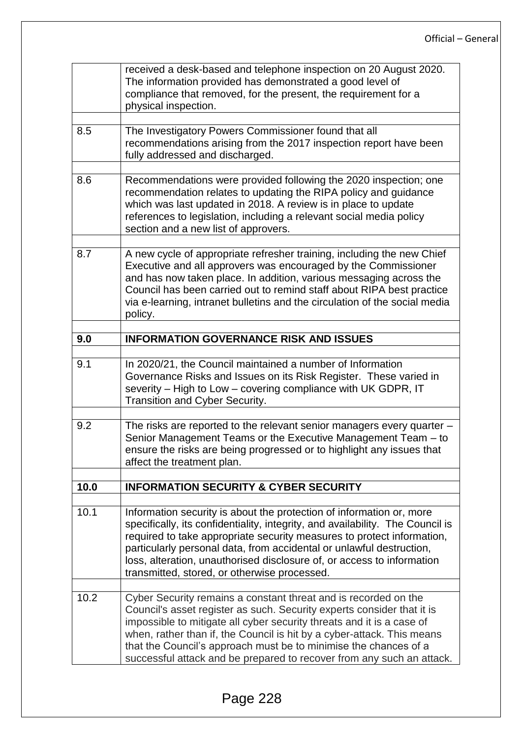|      | received a desk-based and telephone inspection on 20 August 2020.<br>The information provided has demonstrated a good level of<br>compliance that removed, for the present, the requirement for a<br>physical inspection.                                                                                                                                                                                                                 |  |  |  |  |  |
|------|-------------------------------------------------------------------------------------------------------------------------------------------------------------------------------------------------------------------------------------------------------------------------------------------------------------------------------------------------------------------------------------------------------------------------------------------|--|--|--|--|--|
| 8.5  | The Investigatory Powers Commissioner found that all<br>recommendations arising from the 2017 inspection report have been<br>fully addressed and discharged.                                                                                                                                                                                                                                                                              |  |  |  |  |  |
| 8.6  | Recommendations were provided following the 2020 inspection; one<br>recommendation relates to updating the RIPA policy and guidance<br>which was last updated in 2018. A review is in place to update<br>references to legislation, including a relevant social media policy<br>section and a new list of approvers.                                                                                                                      |  |  |  |  |  |
| 8.7  | A new cycle of appropriate refresher training, including the new Chief<br>Executive and all approvers was encouraged by the Commissioner<br>and has now taken place. In addition, various messaging across the<br>Council has been carried out to remind staff about RIPA best practice<br>via e-learning, intranet bulletins and the circulation of the social media<br>policy.                                                          |  |  |  |  |  |
| 9.0  | <b>INFORMATION GOVERNANCE RISK AND ISSUES</b>                                                                                                                                                                                                                                                                                                                                                                                             |  |  |  |  |  |
| 9.1  | In 2020/21, the Council maintained a number of Information<br>Governance Risks and Issues on its Risk Register. These varied in<br>severity - High to Low - covering compliance with UK GDPR, IT<br>Transition and Cyber Security.                                                                                                                                                                                                        |  |  |  |  |  |
| 9.2  | The risks are reported to the relevant senior managers every quarter -<br>Senior Management Teams or the Executive Management Team - to<br>ensure the risks are being progressed or to highlight any issues that<br>affect the treatment plan.                                                                                                                                                                                            |  |  |  |  |  |
| 10.0 | <b>INFORMATION SECURITY &amp; CYBER SECURITY</b>                                                                                                                                                                                                                                                                                                                                                                                          |  |  |  |  |  |
| 10.1 | Information security is about the protection of information or, more<br>specifically, its confidentiality, integrity, and availability. The Council is<br>required to take appropriate security measures to protect information,<br>particularly personal data, from accidental or unlawful destruction,<br>loss, alteration, unauthorised disclosure of, or access to information<br>transmitted, stored, or otherwise processed.        |  |  |  |  |  |
| 10.2 | Cyber Security remains a constant threat and is recorded on the<br>Council's asset register as such. Security experts consider that it is<br>impossible to mitigate all cyber security threats and it is a case of<br>when, rather than if, the Council is hit by a cyber-attack. This means<br>that the Council's approach must be to minimise the chances of a<br>successful attack and be prepared to recover from any such an attack. |  |  |  |  |  |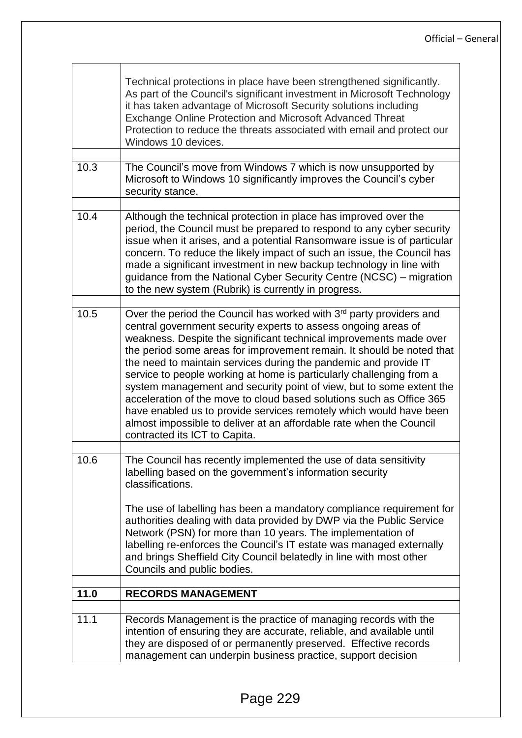|      | Technical protections in place have been strengthened significantly.<br>As part of the Council's significant investment in Microsoft Technology<br>it has taken advantage of Microsoft Security solutions including<br><b>Exchange Online Protection and Microsoft Advanced Threat</b><br>Protection to reduce the threats associated with email and protect our<br>Windows 10 devices.                                                                                                                                                                                                                                                                                                                                                                        |
|------|----------------------------------------------------------------------------------------------------------------------------------------------------------------------------------------------------------------------------------------------------------------------------------------------------------------------------------------------------------------------------------------------------------------------------------------------------------------------------------------------------------------------------------------------------------------------------------------------------------------------------------------------------------------------------------------------------------------------------------------------------------------|
| 10.3 | The Council's move from Windows 7 which is now unsupported by<br>Microsoft to Windows 10 significantly improves the Council's cyber<br>security stance.                                                                                                                                                                                                                                                                                                                                                                                                                                                                                                                                                                                                        |
| 10.4 | Although the technical protection in place has improved over the<br>period, the Council must be prepared to respond to any cyber security<br>issue when it arises, and a potential Ransomware issue is of particular<br>concern. To reduce the likely impact of such an issue, the Council has<br>made a significant investment in new backup technology in line with<br>guidance from the National Cyber Security Centre (NCSC) – migration<br>to the new system (Rubrik) is currently in progress.                                                                                                                                                                                                                                                           |
| 10.5 | Over the period the Council has worked with 3rd party providers and<br>central government security experts to assess ongoing areas of<br>weakness. Despite the significant technical improvements made over<br>the period some areas for improvement remain. It should be noted that<br>the need to maintain services during the pandemic and provide IT<br>service to people working at home is particularly challenging from a<br>system management and security point of view, but to some extent the<br>acceleration of the move to cloud based solutions such as Office 365<br>have enabled us to provide services remotely which would have been<br>almost impossible to deliver at an affordable rate when the Council<br>contracted its ICT to Capita. |
| 10.6 | The Council has recently implemented the use of data sensitivity<br>labelling based on the government's information security<br>classifications.<br>The use of labelling has been a mandatory compliance requirement for<br>authorities dealing with data provided by DWP via the Public Service<br>Network (PSN) for more than 10 years. The implementation of<br>labelling re-enforces the Council's IT estate was managed externally<br>and brings Sheffield City Council belatedly in line with most other<br>Councils and public bodies.                                                                                                                                                                                                                  |
| 11.0 | <b>RECORDS MANAGEMENT</b>                                                                                                                                                                                                                                                                                                                                                                                                                                                                                                                                                                                                                                                                                                                                      |
| 11.1 | Records Management is the practice of managing records with the<br>intention of ensuring they are accurate, reliable, and available until<br>they are disposed of or permanently preserved. Effective records<br>management can underpin business practice, support decision                                                                                                                                                                                                                                                                                                                                                                                                                                                                                   |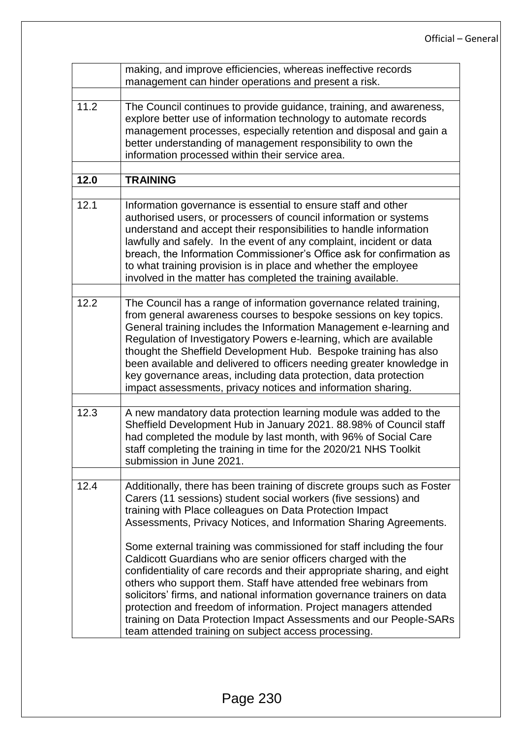|      | making, and improve efficiencies, whereas ineffective records<br>management can hinder operations and present a risk.                                                                                                                                                                                                                                                                                                                                                                                                                                                                                                                                                                                                                                                                                                                           |  |  |  |  |  |
|------|-------------------------------------------------------------------------------------------------------------------------------------------------------------------------------------------------------------------------------------------------------------------------------------------------------------------------------------------------------------------------------------------------------------------------------------------------------------------------------------------------------------------------------------------------------------------------------------------------------------------------------------------------------------------------------------------------------------------------------------------------------------------------------------------------------------------------------------------------|--|--|--|--|--|
|      |                                                                                                                                                                                                                                                                                                                                                                                                                                                                                                                                                                                                                                                                                                                                                                                                                                                 |  |  |  |  |  |
| 11.2 | The Council continues to provide guidance, training, and awareness,<br>explore better use of information technology to automate records<br>management processes, especially retention and disposal and gain a<br>better understanding of management responsibility to own the<br>information processed within their service area.                                                                                                                                                                                                                                                                                                                                                                                                                                                                                                               |  |  |  |  |  |
| 12.0 | <b>TRAINING</b>                                                                                                                                                                                                                                                                                                                                                                                                                                                                                                                                                                                                                                                                                                                                                                                                                                 |  |  |  |  |  |
|      |                                                                                                                                                                                                                                                                                                                                                                                                                                                                                                                                                                                                                                                                                                                                                                                                                                                 |  |  |  |  |  |
| 12.1 | Information governance is essential to ensure staff and other<br>authorised users, or processers of council information or systems<br>understand and accept their responsibilities to handle information<br>lawfully and safely. In the event of any complaint, incident or data<br>breach, the Information Commissioner's Office ask for confirmation as<br>to what training provision is in place and whether the employee<br>involved in the matter has completed the training available.                                                                                                                                                                                                                                                                                                                                                    |  |  |  |  |  |
| 12.2 | The Council has a range of information governance related training,<br>from general awareness courses to bespoke sessions on key topics.<br>General training includes the Information Management e-learning and<br>Regulation of Investigatory Powers e-learning, which are available<br>thought the Sheffield Development Hub. Bespoke training has also<br>been available and delivered to officers needing greater knowledge in<br>key governance areas, including data protection, data protection<br>impact assessments, privacy notices and information sharing.                                                                                                                                                                                                                                                                          |  |  |  |  |  |
| 12.3 | A new mandatory data protection learning module was added to the<br>Sheffield Development Hub in January 2021. 88.98% of Council staff<br>had completed the module by last month, with 96% of Social Care<br>staff completing the training in time for the 2020/21 NHS Toolkit<br>submission in June 2021.                                                                                                                                                                                                                                                                                                                                                                                                                                                                                                                                      |  |  |  |  |  |
| 12.4 | Additionally, there has been training of discrete groups such as Foster<br>Carers (11 sessions) student social workers (five sessions) and<br>training with Place colleagues on Data Protection Impact<br>Assessments, Privacy Notices, and Information Sharing Agreements.<br>Some external training was commissioned for staff including the four<br>Caldicott Guardians who are senior officers charged with the<br>confidentiality of care records and their appropriate sharing, and eight<br>others who support them. Staff have attended free webinars from<br>solicitors' firms, and national information governance trainers on data<br>protection and freedom of information. Project managers attended<br>training on Data Protection Impact Assessments and our People-SARs<br>team attended training on subject access processing. |  |  |  |  |  |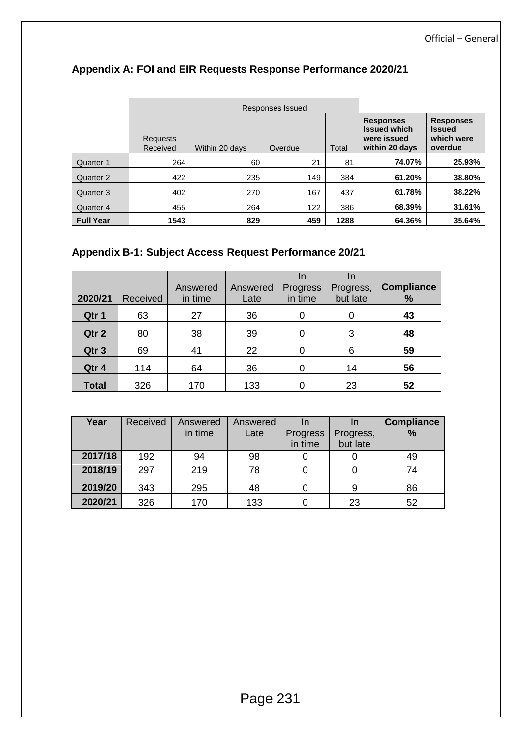|                  |                      | Responses Issued |         |       |                                                                          |                                                            |
|------------------|----------------------|------------------|---------|-------|--------------------------------------------------------------------------|------------------------------------------------------------|
|                  | Requests<br>Received | Within 20 days   | Overdue | Total | <b>Responses</b><br><b>Issued which</b><br>were issued<br>within 20 days | <b>Responses</b><br><b>Issued</b><br>which were<br>overdue |
| Quarter 1        | 264                  | 60               | 21      | 81    | 74.07%                                                                   | 25.93%                                                     |
| Quarter 2        | 422                  | 235              | 149     | 384   | 61.20%                                                                   | 38.80%                                                     |
| Quarter 3        | 402                  | 270              | 167     | 437   | 61.78%                                                                   | 38.22%                                                     |
| Quarter 4        | 455                  | 264              | 122     | 386   | 68.39%                                                                   | 31.61%                                                     |
| <b>Full Year</b> | 1543                 | 829              | 459     | 1288  | 64.36%                                                                   | 35.64%                                                     |

## **Appendix A: FOI and EIR Requests Response Performance 2020/21**

## **Appendix B-1: Subject Access Request Performance 20/21**

| 2020/21      | Received | Answered<br>in time | Answered<br>Late | In<br>Progress<br>in time | In<br>Progress,<br>but late | <b>Compliance</b><br>$\%$ |
|--------------|----------|---------------------|------------------|---------------------------|-----------------------------|---------------------------|
| Qtr 1        | 63       | 27                  | 36               | 0                         | 0                           | 43                        |
| Qtr 2        | 80       | 38                  | 39               | 0                         | 3                           | 48                        |
| Qtr 3        | 69       | 41                  | 22               | 0                         | 6                           | 59                        |
| Qtr 4        | 114      | 64                  | 36               | 0                         | 14                          | 56                        |
| <b>Total</b> | 326      | 170                 | 133              | 0                         | 23                          | 52                        |

| Year    | Received | Answered | Answered | In                  |                       | <b>Compliance</b> |
|---------|----------|----------|----------|---------------------|-----------------------|-------------------|
|         |          | in time  | Late     | Progress<br>in time | Progress,<br>but late | %                 |
| 2017/18 | 192      | 94       | 98       |                     |                       | 49                |
| 2018/19 | 297      | 219      | 78       |                     |                       | 74                |
|         |          |          |          |                     |                       |                   |
| 2019/20 | 343      | 295      | 48       |                     | 9                     | 86                |
| 2020/21 | 326      | 170      | 133      |                     | 23                    | 52                |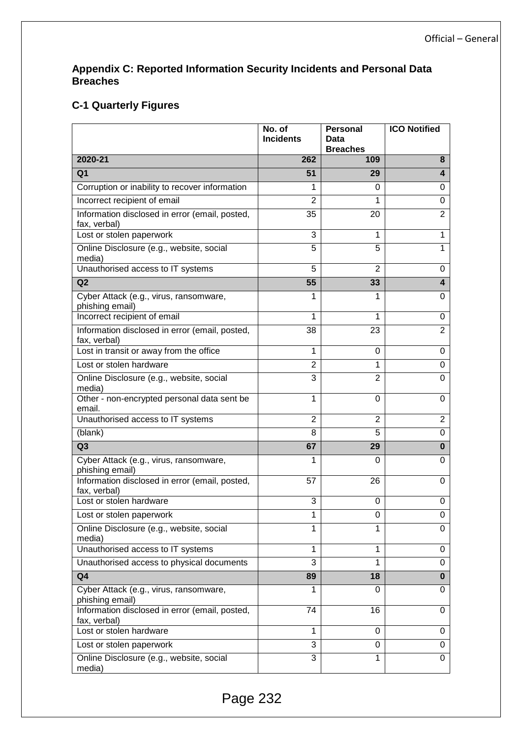#### **Appendix C: Reported Information Security Incidents and Personal Data Breaches**

## **C-1 Quarterly Figures**

|                                                                | No. of<br><b>Incidents</b> | <b>Personal</b><br>Data<br><b>Breaches</b> | <b>ICO Notified</b>     |
|----------------------------------------------------------------|----------------------------|--------------------------------------------|-------------------------|
| 2020-21                                                        | 262                        | 109                                        | 8                       |
| Q <sub>1</sub>                                                 | 51                         | 29                                         | $\overline{\mathbf{4}}$ |
| Corruption or inability to recover information                 | 1                          | 0                                          | 0                       |
| Incorrect recipient of email                                   | $\overline{2}$             | 1                                          | 0                       |
| Information disclosed in error (email, posted,<br>fax, verbal) | 35                         | 20                                         | $\overline{2}$          |
| Lost or stolen paperwork                                       | 3                          | 1                                          | 1                       |
| Online Disclosure (e.g., website, social<br>media)             | 5                          | 5                                          | 1                       |
| Unauthorised access to IT systems                              | 5                          | $\overline{2}$                             | 0                       |
| Q2                                                             | 55                         | 33                                         | $\overline{\mathbf{4}}$ |
| Cyber Attack (e.g., virus, ransomware,<br>phishing email)      | 1                          | 1                                          | 0                       |
| Incorrect recipient of email                                   | $\mathbf{1}$               | 1                                          | 0                       |
| Information disclosed in error (email, posted,<br>fax, verbal) | 38                         | 23                                         | $\overline{2}$          |
| Lost in transit or away from the office                        | 1                          | 0                                          | 0                       |
| Lost or stolen hardware                                        | $\overline{2}$             | 1                                          | 0                       |
| Online Disclosure (e.g., website, social<br>media)             | 3                          | $\overline{2}$                             | 0                       |
| Other - non-encrypted personal data sent be<br>email.          | 1                          | 0                                          | 0                       |
| Unauthorised access to IT systems                              | $\overline{2}$             | $\overline{2}$                             | $\overline{2}$          |
| (blank)                                                        | 8                          | 5                                          | 0                       |
| Q <sub>3</sub>                                                 | 67                         | 29                                         | $\bf{0}$                |
| Cyber Attack (e.g., virus, ransomware,<br>phishing email)      | 1                          | 0                                          | $\Omega$                |
| Information disclosed in error (email, posted,<br>fax, verbal) | 57                         | 26                                         | 0                       |
| Lost or stolen hardware                                        | 3                          | 0                                          | 0                       |
| Lost or stolen paperwork                                       | 1                          | 0                                          | 0                       |
| Online Disclosure (e.g., website, social<br>media)             | 1                          | 1                                          | $\Omega$                |
| Unauthorised access to IT systems                              | 1                          | 1                                          | 0                       |
| Unauthorised access to physical documents                      | 3                          | 1                                          | $\Omega$                |
| Q <sub>4</sub>                                                 | 89                         | 18                                         | $\bf{0}$                |
| Cyber Attack (e.g., virus, ransomware,<br>phishing email)      | 1                          | 0                                          | 0                       |
| Information disclosed in error (email, posted,<br>fax, verbal) | 74                         | 16                                         | $\Omega$                |
| Lost or stolen hardware                                        | 1                          | $\Omega$                                   | 0                       |
| Lost or stolen paperwork                                       | 3                          | 0                                          | 0                       |
| Online Disclosure (e.g., website, social<br>media)             | 3                          | 1                                          | $\Omega$                |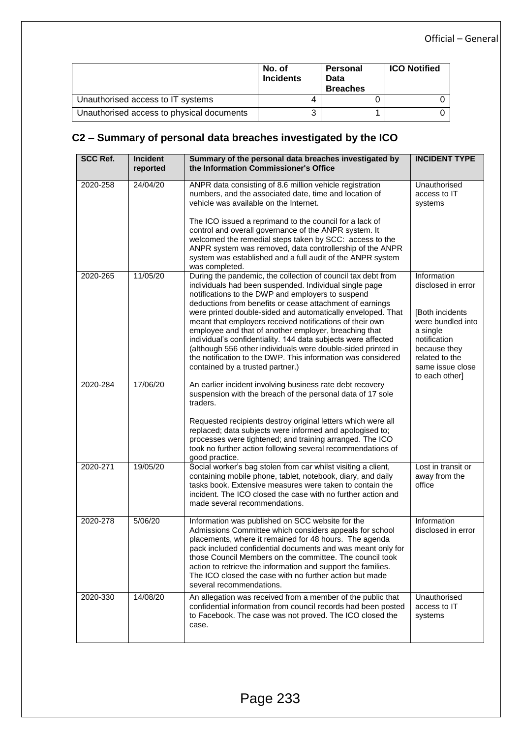|                                           | No. of<br><b>Incidents</b> | Personal<br>Data<br><b>Breaches</b> | <b>ICO Notified</b> |
|-------------------------------------------|----------------------------|-------------------------------------|---------------------|
| Unauthorised access to IT systems         |                            |                                     |                     |
| Unauthorised access to physical documents | 3                          |                                     |                     |

## **C2 – Summary of personal data breaches investigated by the ICO**

| <b>SCC Ref.</b> | Incident<br>reported | Summary of the personal data breaches investigated by<br>the Information Commissioner's Office                                                                                                                                                                                                                                                                                                                                                          | <b>INCIDENT TYPE</b>                                                                                                                      |
|-----------------|----------------------|---------------------------------------------------------------------------------------------------------------------------------------------------------------------------------------------------------------------------------------------------------------------------------------------------------------------------------------------------------------------------------------------------------------------------------------------------------|-------------------------------------------------------------------------------------------------------------------------------------------|
| 2020-258        | 24/04/20             | ANPR data consisting of 8.6 million vehicle registration<br>numbers, and the associated date, time and location of<br>vehicle was available on the Internet.                                                                                                                                                                                                                                                                                            | Unauthorised<br>access to IT<br>systems                                                                                                   |
|                 |                      | The ICO issued a reprimand to the council for a lack of<br>control and overall governance of the ANPR system. It<br>welcomed the remedial steps taken by SCC: access to the<br>ANPR system was removed, data controllership of the ANPR<br>system was established and a full audit of the ANPR system<br>was completed.                                                                                                                                 |                                                                                                                                           |
| 2020-265        | 11/05/20             | During the pandemic, the collection of council tax debt from<br>individuals had been suspended. Individual single page<br>notifications to the DWP and employers to suspend<br>deductions from benefits or cease attachment of earnings                                                                                                                                                                                                                 | Information<br>disclosed in error                                                                                                         |
|                 |                      | were printed double-sided and automatically enveloped. That<br>meant that employers received notifications of their own<br>employee and that of another employer, breaching that<br>individual's confidentiality. 144 data subjects were affected<br>(although 556 other individuals were double-sided printed in<br>the notification to the DWP. This information was considered<br>contained by a trusted partner.)                                   | [Both incidents]<br>were bundled into<br>a single<br>notification<br>because they<br>related to the<br>same issue close<br>to each other] |
| 2020-284        | 17/06/20             | An earlier incident involving business rate debt recovery<br>suspension with the breach of the personal data of 17 sole<br>traders.                                                                                                                                                                                                                                                                                                                     |                                                                                                                                           |
|                 |                      | Requested recipients destroy original letters which were all<br>replaced; data subjects were informed and apologised to;<br>processes were tightened; and training arranged. The ICO<br>took no further action following several recommendations of<br>good practice.                                                                                                                                                                                   |                                                                                                                                           |
| 2020-271        | 19/05/20             | Social worker's bag stolen from car whilst visiting a client,<br>containing mobile phone, tablet, notebook, diary, and daily<br>tasks book. Extensive measures were taken to contain the<br>incident. The ICO closed the case with no further action and<br>made several recommendations.                                                                                                                                                               | Lost in transit or<br>away from the<br>office                                                                                             |
| 2020-278        | 5/06/20              | Information was published on SCC website for the<br>Admissions Committee which considers appeals for school<br>placements, where it remained for 48 hours. The agenda<br>pack included confidential documents and was meant only for<br>those Council Members on the committee. The council took<br>action to retrieve the information and support the families.<br>The ICO closed the case with no further action but made<br>several recommendations. | Information<br>disclosed in error                                                                                                         |
| 2020-330        | 14/08/20             | An allegation was received from a member of the public that<br>confidential information from council records had been posted<br>to Facebook. The case was not proved. The ICO closed the<br>case.                                                                                                                                                                                                                                                       | Unauthorised<br>access to IT<br>systems                                                                                                   |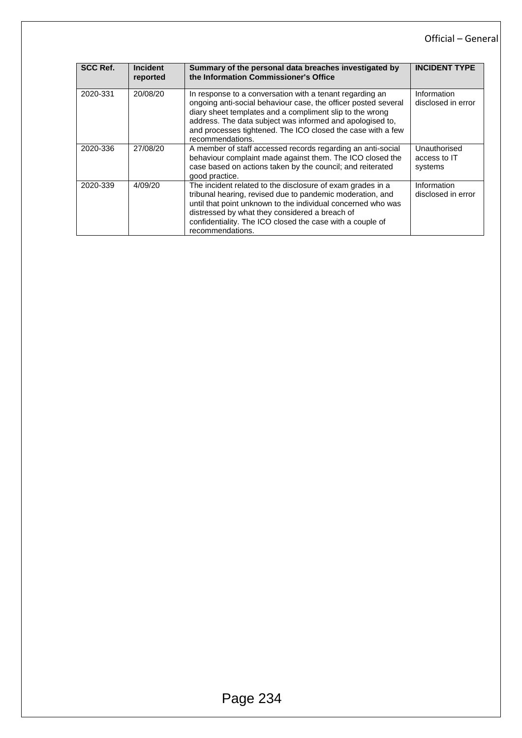#### Official – General

| <b>SCC Ref.</b> | <b>Incident</b><br>reported | Summary of the personal data breaches investigated by<br>the Information Commissioner's Office                                                                                                                                                                                                                                         | <b>INCIDENT TYPE</b>                    |
|-----------------|-----------------------------|----------------------------------------------------------------------------------------------------------------------------------------------------------------------------------------------------------------------------------------------------------------------------------------------------------------------------------------|-----------------------------------------|
| 2020-331        | 20/08/20                    | In response to a conversation with a tenant regarding an<br>ongoing anti-social behaviour case, the officer posted several<br>diary sheet templates and a compliment slip to the wrong<br>address. The data subject was informed and apologised to,<br>and processes tightened. The ICO closed the case with a few<br>recommendations. | Information<br>disclosed in error       |
| 2020-336        | 27/08/20                    | A member of staff accessed records regarding an anti-social<br>behaviour complaint made against them. The ICO closed the<br>case based on actions taken by the council; and reiterated<br>good practice.                                                                                                                               | Unauthorised<br>access to IT<br>systems |
| 2020-339        | 4/09/20                     | The incident related to the disclosure of exam grades in a<br>tribunal hearing, revised due to pandemic moderation, and<br>until that point unknown to the individual concerned who was<br>distressed by what they considered a breach of<br>confidentiality. The ICO closed the case with a couple of<br>recommendations.             | Information<br>disclosed in error       |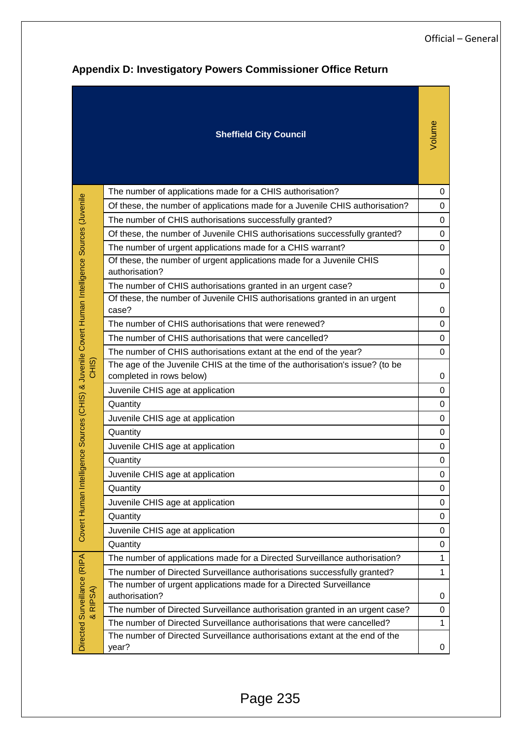| <b>Appendix D: Investigatory Powers Commissioner Office Return</b> |                                                                                      |                                                                                                           |             |  |  |  |
|--------------------------------------------------------------------|--------------------------------------------------------------------------------------|-----------------------------------------------------------------------------------------------------------|-------------|--|--|--|
|                                                                    |                                                                                      | <b>Sheffield City Council</b>                                                                             | Volume      |  |  |  |
|                                                                    |                                                                                      | The number of applications made for a CHIS authorisation?                                                 | 0           |  |  |  |
|                                                                    |                                                                                      | Of these, the number of applications made for a Juvenile CHIS authorisation?                              | 0           |  |  |  |
|                                                                    |                                                                                      | The number of CHIS authorisations successfully granted?                                                   | $\mathbf 0$ |  |  |  |
|                                                                    |                                                                                      | Of these, the number of Juvenile CHIS authorisations successfully granted?                                | $\mathbf 0$ |  |  |  |
|                                                                    |                                                                                      | The number of urgent applications made for a CHIS warrant?                                                | 0           |  |  |  |
|                                                                    |                                                                                      | Of these, the number of urgent applications made for a Juvenile CHIS                                      |             |  |  |  |
|                                                                    |                                                                                      | authorisation?                                                                                            | $\mathbf 0$ |  |  |  |
|                                                                    |                                                                                      | The number of CHIS authorisations granted in an urgent case?                                              | $\mathbf 0$ |  |  |  |
|                                                                    |                                                                                      | Of these, the number of Juvenile CHIS authorisations granted in an urgent<br>case?                        | $\mathbf 0$ |  |  |  |
|                                                                    |                                                                                      | The number of CHIS authorisations that were renewed?                                                      | 0           |  |  |  |
|                                                                    |                                                                                      | The number of CHIS authorisations that were cancelled?                                                    | $\mathbf 0$ |  |  |  |
|                                                                    |                                                                                      | The number of CHIS authorisations extant at the end of the year?                                          | $\mathbf 0$ |  |  |  |
|                                                                    | Sources (CHIS) & Juvenile Covert Human Intelligence Sources (Juvenile<br>CHIS)       | The age of the Juvenile CHIS at the time of the authorisation's issue? (to be<br>completed in rows below) | 0           |  |  |  |
|                                                                    |                                                                                      | Juvenile CHIS age at application                                                                          | $\mathbf 0$ |  |  |  |
|                                                                    |                                                                                      | Quantity                                                                                                  | $\mathbf 0$ |  |  |  |
|                                                                    |                                                                                      | Juvenile CHIS age at application                                                                          | 0           |  |  |  |
|                                                                    |                                                                                      | Quantity                                                                                                  | $\mathbf 0$ |  |  |  |
|                                                                    |                                                                                      | Juvenile CHIS age at application                                                                          | $\mathbf 0$ |  |  |  |
|                                                                    | Covert Human Intelligence                                                            | Quantity                                                                                                  | 0           |  |  |  |
|                                                                    |                                                                                      | Juvenile CHIS age at application                                                                          | 0           |  |  |  |
|                                                                    |                                                                                      | Quantity                                                                                                  | $\mathbf 0$ |  |  |  |
|                                                                    |                                                                                      | Juvenile CHIS age at application                                                                          | 0           |  |  |  |
|                                                                    |                                                                                      | Quantity                                                                                                  | $\mathbf 0$ |  |  |  |
|                                                                    |                                                                                      | Juvenile CHIS age at application                                                                          | $\mathbf 0$ |  |  |  |
|                                                                    |                                                                                      | Quantity                                                                                                  | $\mathbf 0$ |  |  |  |
| Directed Surveillance (RIPA<br>RIPSA)                              |                                                                                      | The number of applications made for a Directed Surveillance authorisation?                                | 1           |  |  |  |
|                                                                    |                                                                                      | The number of Directed Surveillance authorisations successfully granted?                                  | 1           |  |  |  |
|                                                                    | The number of urgent applications made for a Directed Surveillance<br>authorisation? | 0                                                                                                         |             |  |  |  |
|                                                                    |                                                                                      | The number of Directed Surveillance authorisation granted in an urgent case?                              | 0           |  |  |  |
|                                                                    | ಂಶ                                                                                   | The number of Directed Surveillance authorisations that were cancelled?                                   | 1           |  |  |  |
|                                                                    |                                                                                      | The number of Directed Surveillance authorisations extant at the end of the<br>year?                      | 0           |  |  |  |